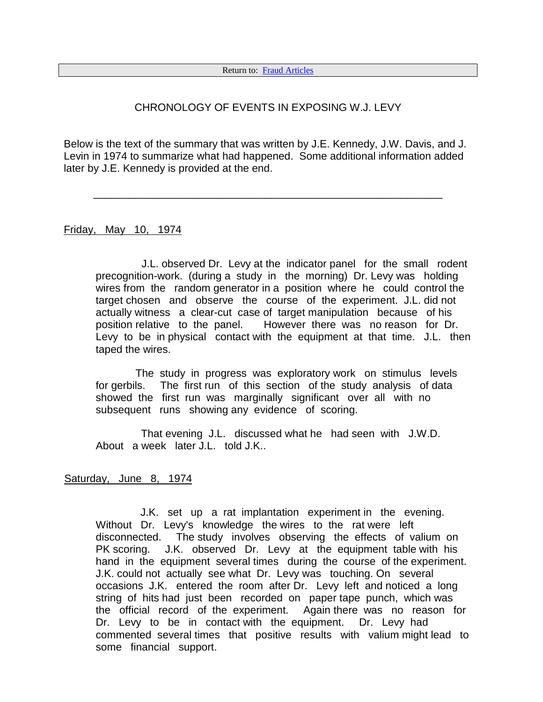## CHRONOLOGY OF EVENTS IN EXPOSING W.J. LEVY

Below is the text of the summary that was written by J.E. Kennedy, J.W. Davis, and J. Levin in 1974 to summarize what had happened. Some additional information added later by J.E. Kennedy is provided at the end.

\_\_\_\_\_\_\_\_\_\_\_\_\_\_\_\_\_\_\_\_\_\_\_\_\_\_\_\_\_\_\_\_\_\_\_\_\_\_\_\_\_\_\_\_\_\_\_\_\_\_\_\_\_\_\_\_\_\_\_

Friday, May 10, 1974

J.L. observed Dr. Levy at the indicator panel for the small rodent precognition-work. (during a study in the morning) Dr. Levy was holding wires from the random generator in a position where he could control the target chosen and observe the course of the experiment. J.L. did not actually witness a clear-cut case of target manipulation because of his position relative to the panel. However there was no reason for Dr. Levy to be in physical contact with the equipment at that time. J.L. then taped the wires.

The study in progress was exploratory work on stimulus levels for gerbils. The first run of this section of the study analysis of data showed the first run was marginally significant over all with no subsequent runs showing any evidence of scoring.

That evening J.L. discussed what he had seen with J.W.D. About a week later J.L. told J.K..

### Saturday, June 8, 1974

J.K. set up a rat implantation experiment in the evening. Without Dr. Levy's knowledge the wires to the rat were left disconnected. The study involves observing the effects of valium on PK scoring. J.K. observed Dr. Levy at the equipment table with his hand in the equipment several times during the course of the experiment. J.K. could not actually see what Dr. Levy was touching. On several occasions J.K. entered the room after Dr. Levy left and noticed a long string of hits had just been recorded on paper tape punch, which was the official record of the experiment. Again there was no reason for Dr. Levy to be in contact with the equipment. Dr. Levy had commented several times that positive results with valium might lead to some financial support.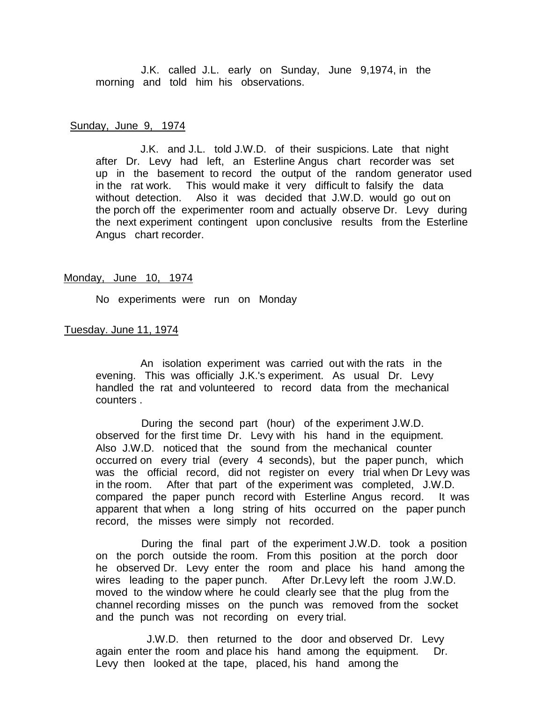J.K. called J.L. early on Sunday, June 9,1974, in the morning and told him his observations.

#### Sunday, June 9, 1974

J.K. and J.L. told J.W.D. of their suspicions. Late that night after Dr. Levy had left, an Esterline Angus chart recorder was set up in the basement to record the output of the random generator used in the rat work. This would make it very difficult to falsify the data without detection. Also it was decided that J.W.D. would go out on the porch off the experimenter room and actually observe Dr. Levy during the next experiment contingent upon conclusive results from the Esterline Angus chart recorder.

#### Monday, June 10, 1974

No experiments were run on Monday

#### Tuesday. June 11, 1974

An isolation experiment was carried out with the rats in the evening. This was officially J.K.'s experiment. As usual Dr. Levy handled the rat and volunteered to record data from the mechanical counters .

During the second part (hour) of the experiment J.W.D. observed for the first time Dr. Levy with his hand in the equipment. Also J.W.D. noticed that the sound from the mechanical counter occurred on every trial (every 4 seconds), but the paper punch, which was the official record, did not register on every trial when Dr Levy was in the room. After that part of the experiment was completed, J.W.D. compared the paper punch record with Esterline Angus record. It was apparent that when a long string of hits occurred on the paper punch record, the misses were simply not recorded.

During the final part of the experiment J.W.D. took a position on the porch outside the room. From this position at the porch door he observed Dr. Levy enter the room and place his hand among the wires leading to the paper punch. After Dr.Levy left the room J.W.D. moved to the window where he could clearly see that the plug from the channel recording misses on the punch was removed from the socket and the punch was not recording on every trial.

J.W.D. then returned to the door and observed Dr. Levy again enter the room and place his hand among the equipment. Dr. Levy then looked at the tape, placed, his hand among the